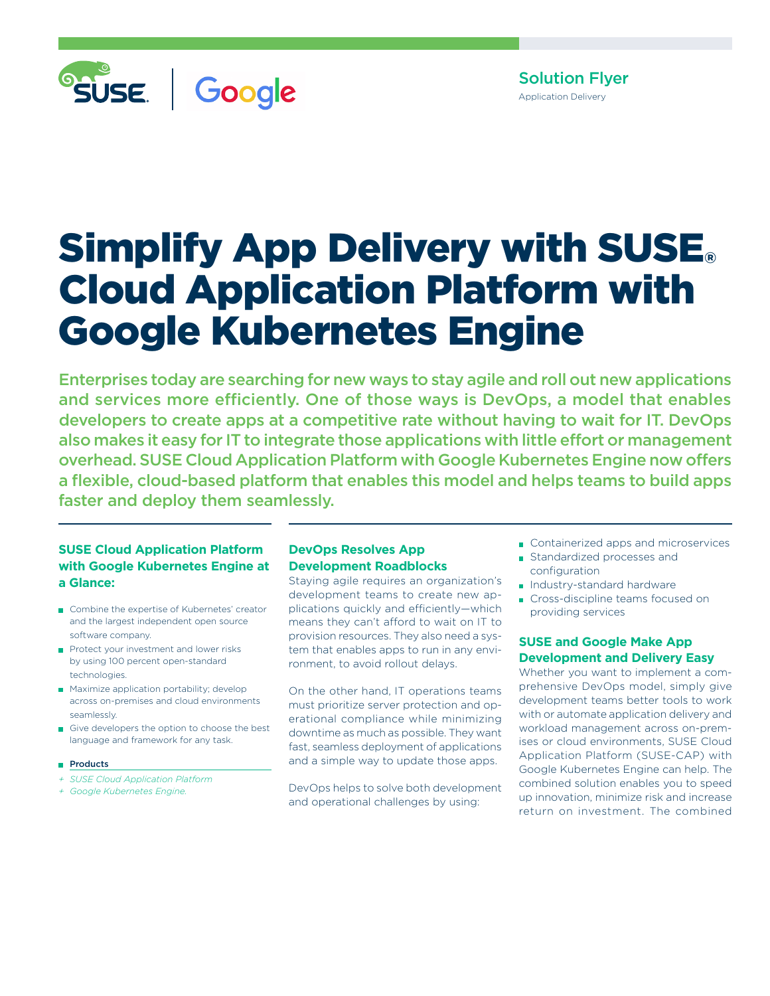

Solution Flyer Application Delivery

# **Simplify App Delivery with SUSE**® Cloud Application Platform with Google Kubernetes Engine

Enterprises today are searching for new ways to stay agile and roll out new applications and services more efficiently. One of those ways is DevOps, a model that enables developers to create apps at a competitive rate without having to wait for IT. DevOps also makes it easy for IT to integrate those applications with little effort or management overhead. SUSE Cloud Application Platform with Google Kubernetes Engine now offers a flexible, cloud-based platform that enables this model and helps teams to build apps faster and deploy them seamlessly.

# **SUSE Cloud Application Platform with Google Kubernetes Engine at a Glance:**

- Combine the expertise of Kubernetes' creator and the largest independent open source software company.
- Protect your investment and lower risks by using 100 percent open-standard technologies.
- **Maximize application portability; develop** across on-premises and cloud environments seamlessly.
- Give developers the option to choose the best language and framework for any task.
- **Products**
- *+ SUSE Cloud Application Platform*
- *+ Google Kubernetes Engine.*

# **DevOps Resolves App Development Roadblocks**

Staying agile requires an organization's development teams to create new applications quickly and efficiently—which means they can't afford to wait on IT to provision resources. They also need a system that enables apps to run in any environment, to avoid rollout delays.

On the other hand, IT operations teams must prioritize server protection and operational compliance while minimizing downtime as much as possible. They want fast, seamless deployment of applications and a simple way to update those apps.

DevOps helps to solve both development and operational challenges by using:

- Containerized apps and microservices
- Standardized processes and configuration
- **Industry-standard hardware**
- Cross-discipline teams focused on providing services

# **SUSE and Google Make App Development and Delivery Easy**

Whether you want to implement a comprehensive DevOps model, simply give development teams better tools to work with or automate application delivery and workload management across on-premises or cloud environments, SUSE Cloud Application Platform (SUSE-CAP) with Google Kubernetes Engine can help. The combined solution enables you to speed up innovation, minimize risk and increase return on investment. The combined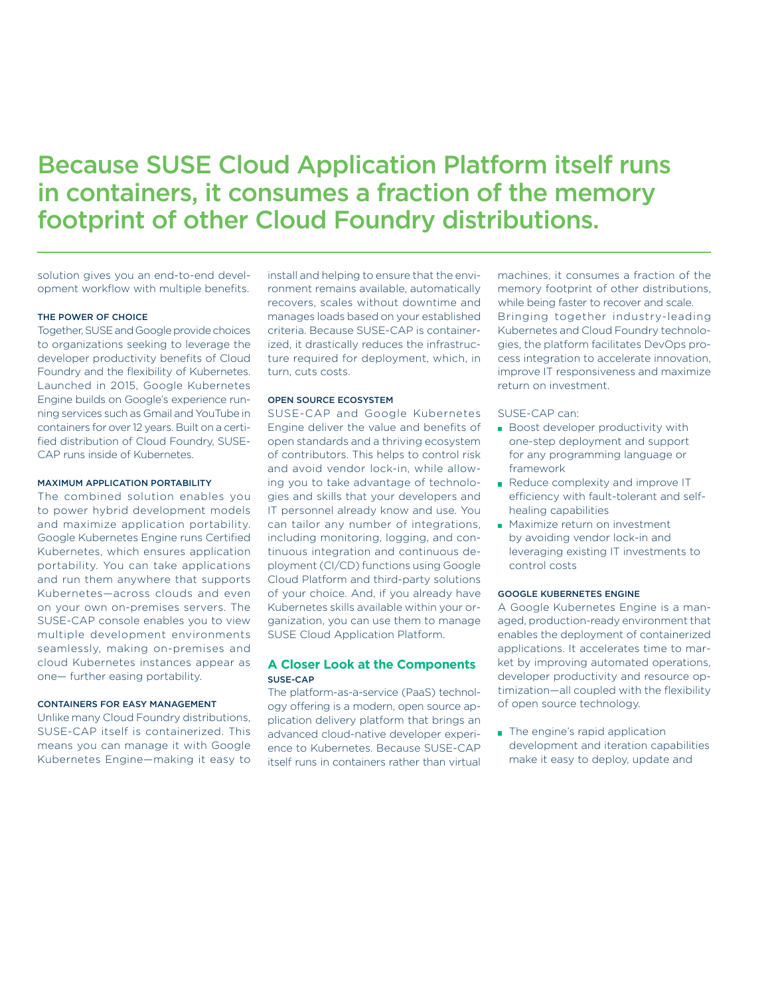# Because SUSE Cloud Application Platform itself runs in containers, it consumes a fraction of the memory footprint of other Cloud Foundry distributions.

solution gives you an end-to-end development workflow with multiple benefits.

#### THE POWER OF CHOICE

Together, SUSE and Google provide choices to organizations seeking to leverage the developer productivity benefits of Cloud Foundry and the flexibility of Kubernetes. Launched in 2015, Google Kubernetes Engine builds on Google's experience running services such as Gmail and YouTube in containers for over 12 years. Built on a certified distribution of Cloud Foundry, SUSE-CAP runs inside of Kubernetes.

#### MAXIMUM APPLICATION PORTABILITY

The combined solution enables you to power hybrid development models and maximize application portability. Google Kubernetes Engine runs Certified Kubernetes, which ensures application portability. You can take applications and run them anywhere that supports Kubernetes—across clouds and even on your own on-premises servers. The SUSE-CAP console enables you to view multiple development environments seamlessly, making on-premises and cloud Kubernetes instances appear as one— further easing portability.

#### CONTAINERS FOR EASY MANAGEMENT

Unlike many Cloud Foundry distributions, SUSE-CAP itself is containerized. This means you can manage it with Google Kubernetes Engine—making it easy to

install and helping to ensure that the environment remains available, automatically recovers, scales without downtime and manages loads based on your established criteria. Because SUSE-CAP is containerized, it drastically reduces the infrastructure required for deployment, which, in turn, cuts costs.

#### OPEN SOURCE ECOSYSTEM

SUSE-CAP and Google Kubernetes Engine deliver the value and benefits of open standards and a thriving ecosystem of contributors. This helps to control risk and avoid vendor lock-in, while allowing you to take advantage of technologies and skills that your developers and IT personnel already know and use. You can tailor any number of integrations, including monitoring, logging, and continuous integration and continuous deployment (CI/CD) functions using Google Cloud Platform and third-party solutions of your choice. And, if you already have Kubernetes skills available within your organization, you can use them to manage SUSE Cloud Application Platform.

## **A Closer Look at the Components** SUSE-CAP

The platform-as-a-service (PaaS) technology offering is a modern, open source application delivery platform that brings an advanced cloud-native developer experience to Kubernetes. Because SUSE-CAP itself runs in containers rather than virtual machines, it consumes a fraction of the memory footprint of other distributions, while being faster to recover and scale. Bringing together industry-leading Kubernetes and Cloud Foundry technologies, the platform facilitates DevOps process integration to accelerate innovation, improve IT responsiveness and maximize return on investment.

SUSE-CAP can:

- **Boost developer productivity with** one-step deployment and support for any programming language or framework
- Reduce complexity and improve IT efficiency with fault-tolerant and selfhealing capabilities
- **Maximize return on investment** by avoiding vendor lock-in and leveraging existing IT investments to control costs

#### GOOGLE KUBERNETES ENGINE

A Google Kubernetes Engine is a managed, production-ready environment that enables the deployment of containerized applications. It accelerates time to market by improving automated operations, developer productivity and resource optimization—all coupled with the flexibility of open source technology.

The engine's rapid application development and iteration capabilities make it easy to deploy, update and